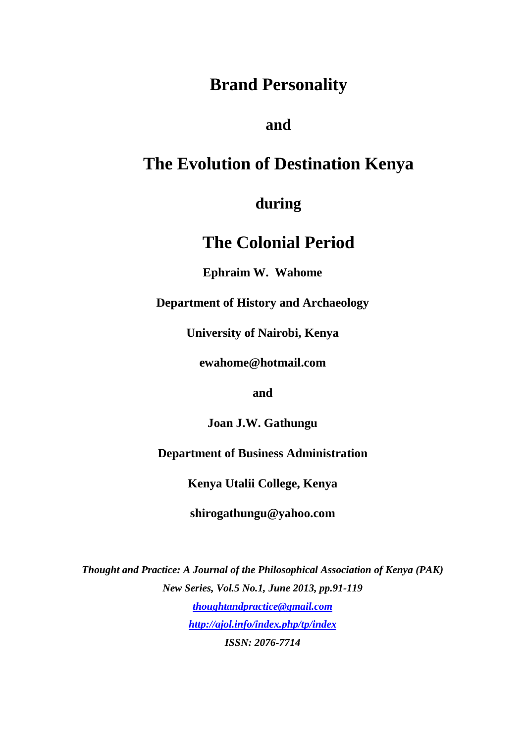## **Brand Personality**

## **and**

## **The Evolution of Destination Kenya**

## **during**

# **The Colonial Period**

**Ephraim W. Wahome** 

**Department of History and Archaeology** 

**University of Nairobi, Kenya** 

**ewahome@hotmail.com** 

**and** 

**Joan J.W. Gathungu** 

**Department of Business Administration** 

**Kenya Utalii College, Kenya** 

**shirogathungu@yahoo.com** 

*Thought and Practice: A Journal of the Philosophical Association of Kenya (PAK) New Series, Vol.5 No.1, June 2013, pp.91-119 thoughtandpractice@gmail.com http://ajol.info/index.php/tp/index*

*ISSN: 2076-7714*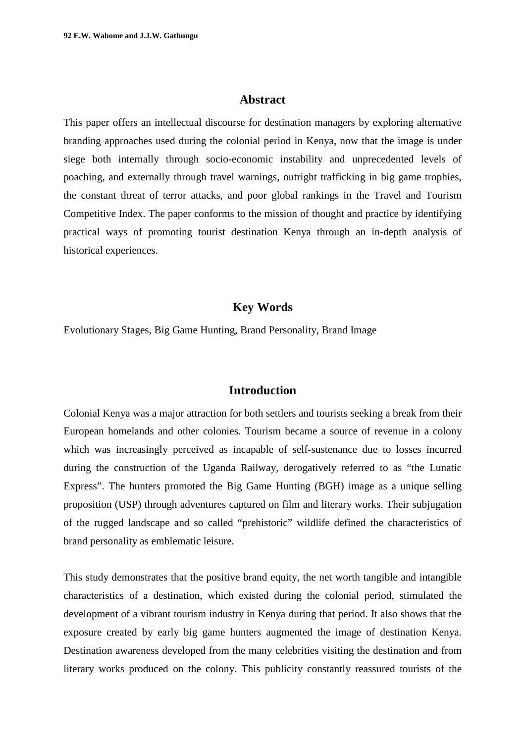#### **Abstract**

This paper offers an intellectual discourse for destination managers by exploring alternative branding approaches used during the colonial period in Kenya, now that the image is under siege both internally through socio-economic instability and unprecedented levels of poaching, and externally through travel warnings, outright trafficking in big game trophies, the constant threat of terror attacks, and poor global rankings in the Travel and Tourism Competitive Index. The paper conforms to the mission of thought and practice by identifying practical ways of promoting tourist destination Kenya through an in-depth analysis of historical experiences.

### **Key Words**

Evolutionary Stages, Big Game Hunting, Brand Personality, Brand Image

### **Introduction**

Colonial Kenya was a major attraction for both settlers and tourists seeking a break from their European homelands and other colonies. Tourism became a source of revenue in a colony which was increasingly perceived as incapable of self-sustenance due to losses incurred during the construction of the Uganda Railway, derogatively referred to as "the Lunatic Express". The hunters promoted the Big Game Hunting (BGH) image as a unique selling proposition (USP) through adventures captured on film and literary works. Their subjugation of the rugged landscape and so called "prehistoric" wildlife defined the characteristics of brand personality as emblematic leisure.

This study demonstrates that the positive brand equity, the net worth tangible and intangible characteristics of a destination, which existed during the colonial period, stimulated the development of a vibrant tourism industry in Kenya during that period. It also shows that the exposure created by early big game hunters augmented the image of destination Kenya. Destination awareness developed from the many celebrities visiting the destination and from literary works produced on the colony. This publicity constantly reassured tourists of the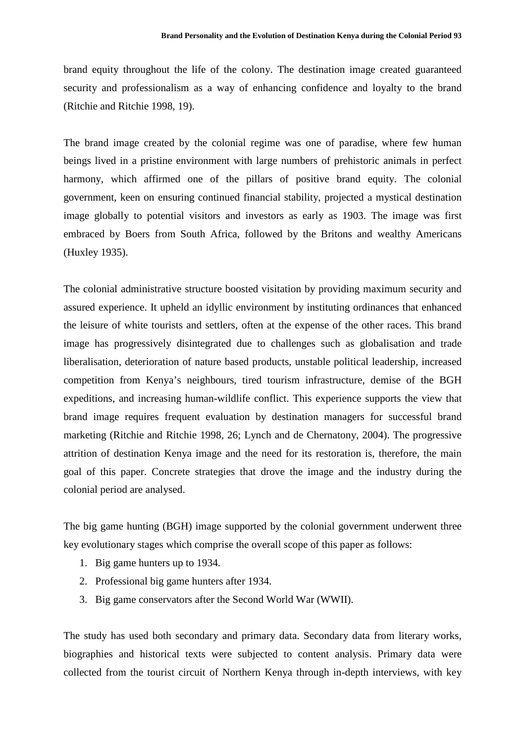brand equity throughout the life of the colony. The destination image created guaranteed security and professionalism as a way of enhancing confidence and loyalty to the brand (Ritchie and Ritchie 1998, 19).

The brand image created by the colonial regime was one of paradise, where few human beings lived in a pristine environment with large numbers of prehistoric animals in perfect harmony, which affirmed one of the pillars of positive brand equity. The colonial government, keen on ensuring continued financial stability, projected a mystical destination image globally to potential visitors and investors as early as 1903. The image was first embraced by Boers from South Africa, followed by the Britons and wealthy Americans (Huxley 1935).

The colonial administrative structure boosted visitation by providing maximum security and assured experience. It upheld an idyllic environment by instituting ordinances that enhanced the leisure of white tourists and settlers, often at the expense of the other races. This brand image has progressively disintegrated due to challenges such as globalisation and trade liberalisation, deterioration of nature based products, unstable political leadership, increased competition from Kenya's neighbours, tired tourism infrastructure, demise of the BGH expeditions, and increasing human-wildlife conflict. This experience supports the view that brand image requires frequent evaluation by destination managers for successful brand marketing (Ritchie and Ritchie 1998, 26; Lynch and de Chernatony, 2004). The progressive attrition of destination Kenya image and the need for its restoration is, therefore, the main goal of this paper. Concrete strategies that drove the image and the industry during the colonial period are analysed.

The big game hunting (BGH) image supported by the colonial government underwent three key evolutionary stages which comprise the overall scope of this paper as follows:

- 1. Big game hunters up to 1934.
- 2. Professional big game hunters after 1934.
- 3. Big game conservators after the Second World War (WWII).

The study has used both secondary and primary data. Secondary data from literary works, biographies and historical texts were subjected to content analysis. Primary data were collected from the tourist circuit of Northern Kenya through in-depth interviews, with key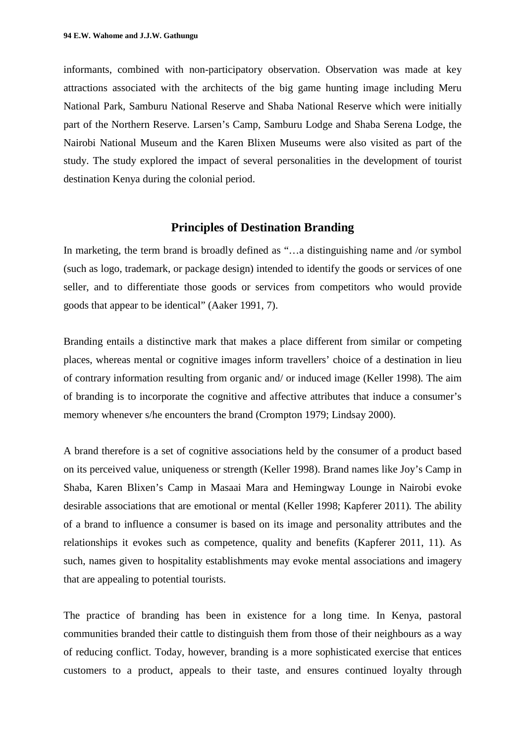informants, combined with non-participatory observation. Observation was made at key attractions associated with the architects of the big game hunting image including Meru National Park, Samburu National Reserve and Shaba National Reserve which were initially part of the Northern Reserve. Larsen's Camp, Samburu Lodge and Shaba Serena Lodge, the Nairobi National Museum and the Karen Blixen Museums were also visited as part of the study. The study explored the impact of several personalities in the development of tourist destination Kenya during the colonial period.

## **Principles of Destination Branding**

In marketing, the term brand is broadly defined as "…a distinguishing name and /or symbol (such as logo, trademark, or package design) intended to identify the goods or services of one seller, and to differentiate those goods or services from competitors who would provide goods that appear to be identical" (Aaker 1991, 7).

Branding entails a distinctive mark that makes a place different from similar or competing places, whereas mental or cognitive images inform travellers' choice of a destination in lieu of contrary information resulting from organic and/ or induced image (Keller 1998)*.* The aim of branding is to incorporate the cognitive and affective attributes that induce a consumer's memory whenever s/he encounters the brand (Crompton 1979; Lindsay 2000).

A brand therefore is a set of cognitive associations held by the consumer of a product based on its perceived value, uniqueness or strength (Keller 1998). Brand names like Joy's Camp in Shaba, Karen Blixen's Camp in Masaai Mara and Hemingway Lounge in Nairobi evoke desirable associations that are emotional or mental (Keller 1998; Kapferer 2011)*.* The ability of a brand to influence a consumer is based on its image and personality attributes and the relationships it evokes such as competence, quality and benefits (Kapferer 2011, 11). As such, names given to hospitality establishments may evoke mental associations and imagery that are appealing to potential tourists.

The practice of branding has been in existence for a long time. In Kenya, pastoral communities branded their cattle to distinguish them from those of their neighbours as a way of reducing conflict. Today, however, branding is a more sophisticated exercise that entices customers to a product, appeals to their taste, and ensures continued loyalty through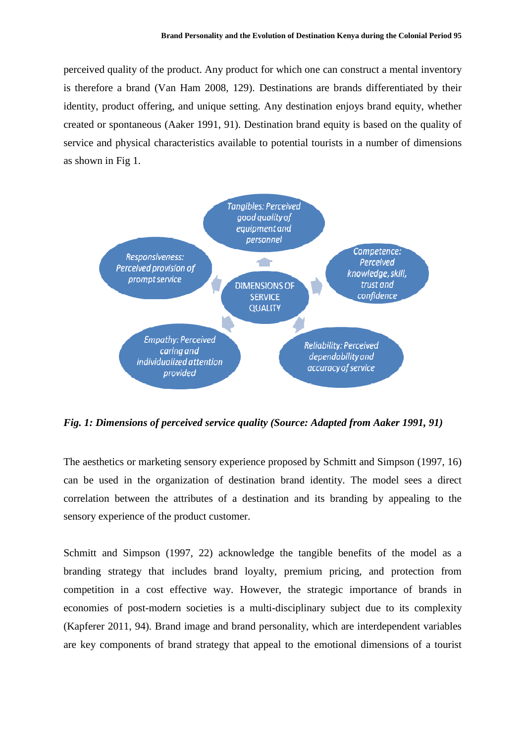perceived quality of the product. Any product for which one can construct a mental inventory is therefore a brand (Van Ham 2008, 129). Destinations are brands differentiated by their identity, product offering, and unique setting. Any destination enjoys brand equity, whether created or spontaneous (Aaker 1991, 91). Destination brand equity is based on the quality of service and physical characteristics available to potential tourists in a number of dimensions as shown in Fig 1.



*Fig. 1: Dimensions of perceived service quality (Source: Adapted from Aaker 1991, 91)* 

The aesthetics or marketing sensory experience proposed by Schmitt and Simpson (1997, 16) can be used in the organization of destination brand identity. The model sees a direct correlation between the attributes of a destination and its branding by appealing to the sensory experience of the product customer.

Schmitt and Simpson (1997, 22) acknowledge the tangible benefits of the model as a branding strategy that includes brand loyalty, premium pricing, and protection from competition in a cost effective way. However, the strategic importance of brands in economies of post-modern societies is a multi-disciplinary subject due to its complexity (Kapferer 2011, 94). Brand image and brand personality, which are interdependent variables are key components of brand strategy that appeal to the emotional dimensions of a tourist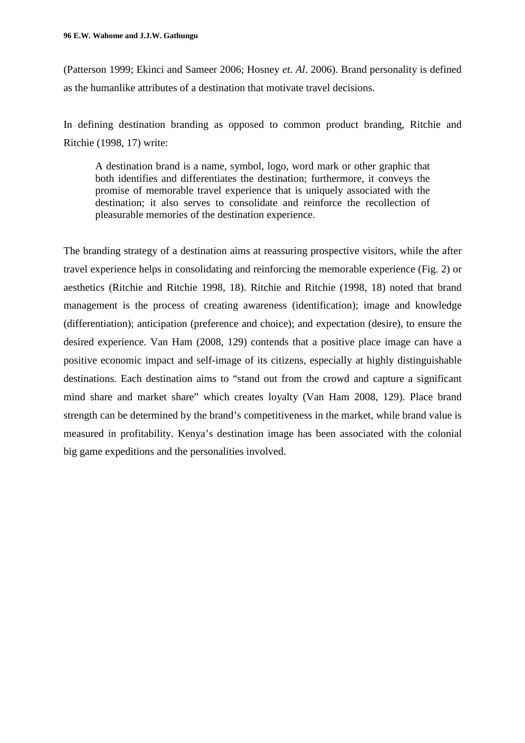(Patterson 1999; Ekinci and Sameer 2006; Hosney *et*. *Al*. 2006). Brand personality is defined as the humanlike attributes of a destination that motivate travel decisions.

In defining destination branding as opposed to common product branding, Ritchie and Ritchie (1998, 17) write:

A destination brand is a name, symbol, logo, word mark or other graphic that both identifies and differentiates the destination; furthermore, it conveys the promise of memorable travel experience that is uniquely associated with the destination; it also serves to consolidate and reinforce the recollection of pleasurable memories of the destination experience.

The branding strategy of a destination aims at reassuring prospective visitors, while the after travel experience helps in consolidating and reinforcing the memorable experience (Fig. 2) or aesthetics (Ritchie and Ritchie 1998, 18). Ritchie and Ritchie (1998, 18) noted that brand management is the process of creating awareness (identification); image and knowledge (differentiation); anticipation (preference and choice); and expectation (desire), to ensure the desired experience. Van Ham (2008, 129) contends that a positive place image can have a positive economic impact and self-image of its citizens, especially at highly distinguishable destinations. Each destination aims to "stand out from the crowd and capture a significant mind share and market share" which creates loyalty (Van Ham 2008, 129). Place brand strength can be determined by the brand's competitiveness in the market, while brand value is measured in profitability. Kenya's destination image has been associated with the colonial big game expeditions and the personalities involved.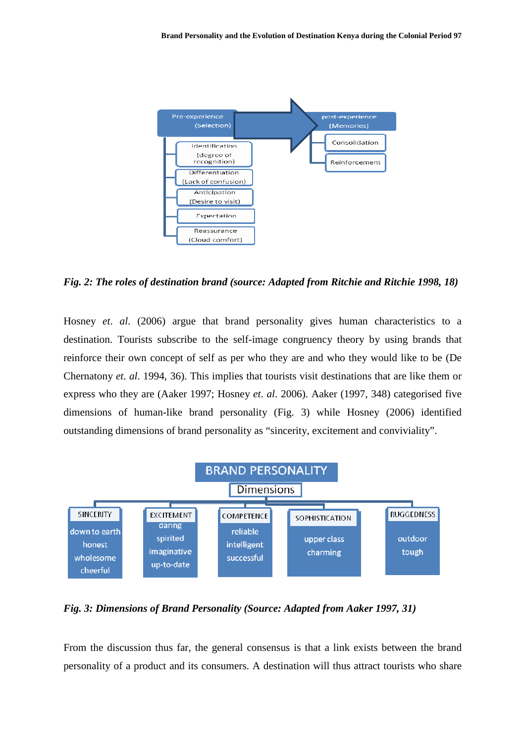

*Fig. 2: The roles of destination brand (source: Adapted from Ritchie and Ritchie 1998, 18)* 

Hosney *et*. *al*. (2006) argue that brand personality gives human characteristics to a destination. Tourists subscribe to the self-image congruency theory by using brands that reinforce their own concept of self as per who they are and who they would like to be (De Chernatony *et*. *al*. 1994, 36). This implies that tourists visit destinations that are like them or express who they are (Aaker 1997; Hosney *et*. *al*. 2006). Aaker (1997, 348) categorised five dimensions of human-like brand personality (Fig. 3) while Hosney (2006) identified outstanding dimensions of brand personality as "sincerity, excitement and conviviality".



*Fig. 3: Dimensions of Brand Personality (Source: Adapted from Aaker 1997, 31)* 

From the discussion thus far, the general consensus is that a link exists between the brand personality of a product and its consumers. A destination will thus attract tourists who share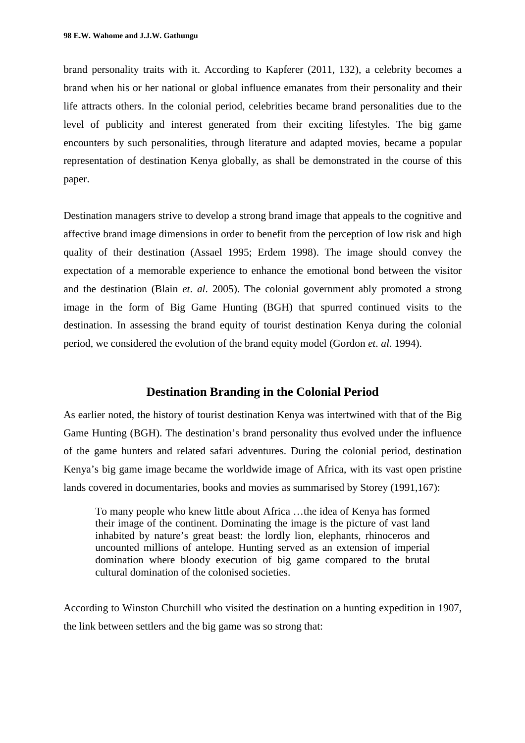brand personality traits with it. According to Kapferer (2011, 132), a celebrity becomes a brand when his or her national or global influence emanates from their personality and their life attracts others. In the colonial period, celebrities became brand personalities due to the level of publicity and interest generated from their exciting lifestyles. The big game encounters by such personalities, through literature and adapted movies, became a popular representation of destination Kenya globally, as shall be demonstrated in the course of this paper.

Destination managers strive to develop a strong brand image that appeals to the cognitive and affective brand image dimensions in order to benefit from the perception of low risk and high quality of their destination (Assael 1995; Erdem 1998). The image should convey the expectation of a memorable experience to enhance the emotional bond between the visitor and the destination (Blain *et*. *al*. 2005). The colonial government ably promoted a strong image in the form of Big Game Hunting (BGH) that spurred continued visits to the destination. In assessing the brand equity of tourist destination Kenya during the colonial period, we considered the evolution of the brand equity model (Gordon *et*. *al*. 1994).

## **Destination Branding in the Colonial Period**

As earlier noted, the history of tourist destination Kenya was intertwined with that of the Big Game Hunting (BGH). The destination's brand personality thus evolved under the influence of the game hunters and related safari adventures. During the colonial period, destination Kenya's big game image became the worldwide image of Africa, with its vast open pristine lands covered in documentaries, books and movies as summarised by Storey (1991,167):

To many people who knew little about Africa …the idea of Kenya has formed their image of the continent. Dominating the image is the picture of vast land inhabited by nature's great beast: the lordly lion, elephants, rhinoceros and uncounted millions of antelope. Hunting served as an extension of imperial domination where bloody execution of big game compared to the brutal cultural domination of the colonised societies.

According to Winston Churchill who visited the destination on a hunting expedition in 1907, the link between settlers and the big game was so strong that: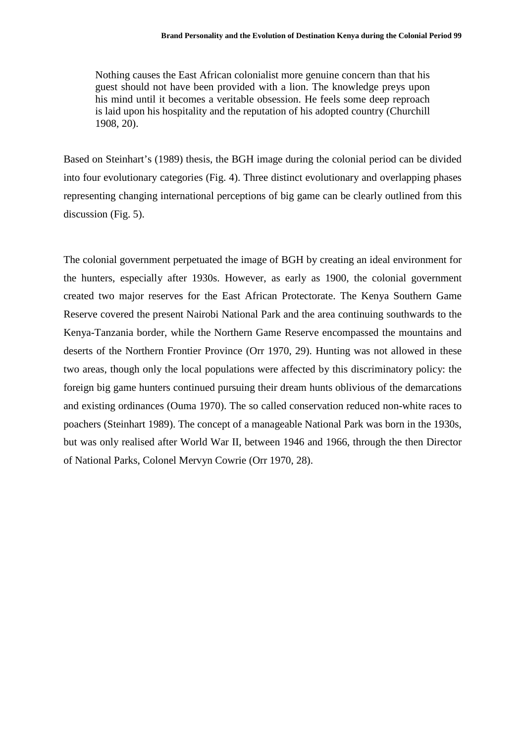Nothing causes the East African colonialist more genuine concern than that his guest should not have been provided with a lion. The knowledge preys upon his mind until it becomes a veritable obsession. He feels some deep reproach is laid upon his hospitality and the reputation of his adopted country (Churchill 1908, 20).

Based on Steinhart's (1989) thesis, the BGH image during the colonial period can be divided into four evolutionary categories (Fig. 4). Three distinct evolutionary and overlapping phases representing changing international perceptions of big game can be clearly outlined from this discussion (Fig. 5).

The colonial government perpetuated the image of BGH by creating an ideal environment for the hunters, especially after 1930s. However, as early as 1900, the colonial government created two major reserves for the East African Protectorate. The Kenya Southern Game Reserve covered the present Nairobi National Park and the area continuing southwards to the Kenya-Tanzania border, while the Northern Game Reserve encompassed the mountains and deserts of the Northern Frontier Province (Orr 1970, 29). Hunting was not allowed in these two areas, though only the local populations were affected by this discriminatory policy: the foreign big game hunters continued pursuing their dream hunts oblivious of the demarcations and existing ordinances (Ouma 1970). The so called conservation reduced non-white races to poachers (Steinhart 1989). The concept of a manageable National Park was born in the 1930s, but was only realised after World War II, between 1946 and 1966, through the then Director of National Parks, Colonel Mervyn Cowrie (Orr 1970, 28).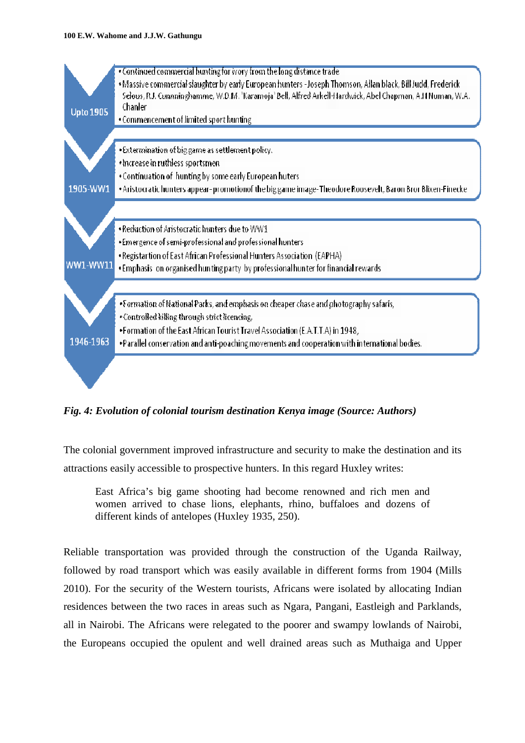#### **100 E.W. Wahome and J.J.W. Gathungu**



*Fig. 4: Evolution of colonial tourism destination Kenya image (Source: Authors)* 

The colonial government improved infrastructure and security to make the destination and its attractions easily accessible to prospective hunters. In this regard Huxley writes:

East Africa's big game shooting had become renowned and rich men and women arrived to chase lions, elephants, rhino, buffaloes and dozens of different kinds of antelopes (Huxley 1935, 250).

Reliable transportation was provided through the construction of the Uganda Railway, followed by road transport which was easily available in different forms from 1904 (Mills 2010). For the security of the Western tourists, Africans were isolated by allocating Indian residences between the two races in areas such as Ngara, Pangani, Eastleigh and Parklands, all in Nairobi. The Africans were relegated to the poorer and swampy lowlands of Nairobi, the Europeans occupied the opulent and well drained areas such as Muthaiga and Upper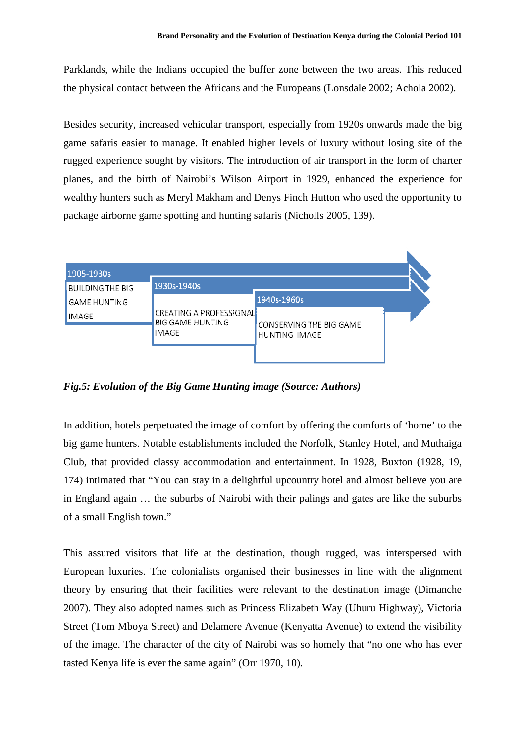Parklands, while the Indians occupied the buffer zone between the two areas. This reduced the physical contact between the Africans and the Europeans (Lonsdale 2002; Achola 2002).

Besides security, increased vehicular transport, especially from 1920s onwards made the big game safaris easier to manage. It enabled higher levels of luxury without losing site of the rugged experience sought by visitors. The introduction of air transport in the form of charter planes, and the birth of Nairobi's Wilson Airport in 1929, enhanced the experience for wealthy hunters such as Meryl Makham and Denys Finch Hutton who used the opportunity to package airborne game spotting and hunting safaris (Nicholls 2005, 139).



*Fig.5: Evolution of the Big Game Hunting image (Source: Authors)* 

In addition, hotels perpetuated the image of comfort by offering the comforts of 'home' to the big game hunters. Notable establishments included the Norfolk, Stanley Hotel, and Muthaiga Club, that provided classy accommodation and entertainment. In 1928, Buxton (1928, 19, 174) intimated that "You can stay in a delightful upcountry hotel and almost believe you are in England again … the suburbs of Nairobi with their palings and gates are like the suburbs of a small English town."

This assured visitors that life at the destination, though rugged, was interspersed with European luxuries. The colonialists organised their businesses in line with the alignment theory by ensuring that their facilities were relevant to the destination image (Dimanche 2007). They also adopted names such as Princess Elizabeth Way (Uhuru Highway), Victoria Street (Tom Mboya Street) and Delamere Avenue (Kenyatta Avenue) to extend the visibility of the image. The character of the city of Nairobi was so homely that "no one who has ever tasted Kenya life is ever the same again" (Orr 1970, 10).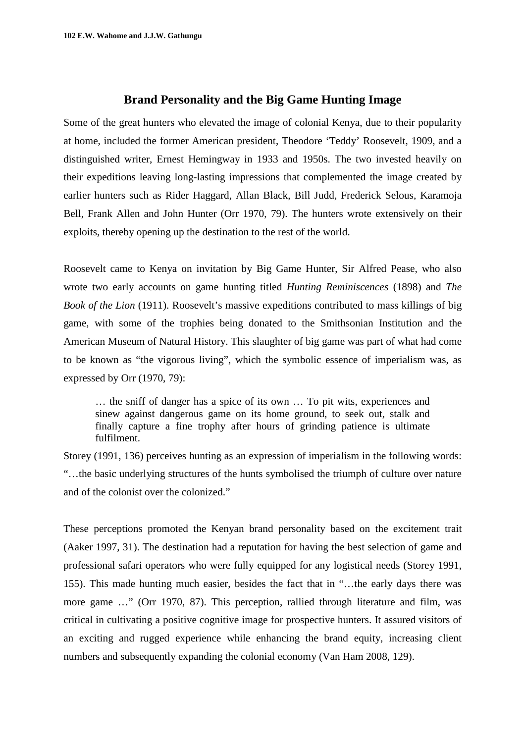## **Brand Personality and the Big Game Hunting Image**

Some of the great hunters who elevated the image of colonial Kenya, due to their popularity at home, included the former American president, Theodore 'Teddy' Roosevelt, 1909, and a distinguished writer, Ernest Hemingway in 1933 and 1950s. The two invested heavily on their expeditions leaving long-lasting impressions that complemented the image created by earlier hunters such as Rider Haggard, Allan Black, Bill Judd, Frederick Selous, Karamoja Bell, Frank Allen and John Hunter (Orr 1970, 79). The hunters wrote extensively on their exploits, thereby opening up the destination to the rest of the world.

Roosevelt came to Kenya on invitation by Big Game Hunter, Sir Alfred Pease, who also wrote two early accounts on game hunting titled *Hunting Reminiscences* (1898) and *The Book of the Lion* (1911). Roosevelt's massive expeditions contributed to mass killings of big game, with some of the trophies being donated to the Smithsonian Institution and the American Museum of Natural History. This slaughter of big game was part of what had come to be known as "the vigorous living", which the symbolic essence of imperialism was, as expressed by Orr (1970, 79):

… the sniff of danger has a spice of its own … To pit wits, experiences and sinew against dangerous game on its home ground, to seek out, stalk and finally capture a fine trophy after hours of grinding patience is ultimate fulfilment.

Storey (1991, 136) perceives hunting as an expression of imperialism in the following words: "…the basic underlying structures of the hunts symbolised the triumph of culture over nature and of the colonist over the colonized."

These perceptions promoted the Kenyan brand personality based on the excitement trait (Aaker 1997, 31). The destination had a reputation for having the best selection of game and professional safari operators who were fully equipped for any logistical needs (Storey 1991, 155). This made hunting much easier, besides the fact that in "…the early days there was more game …" (Orr 1970, 87). This perception, rallied through literature and film, was critical in cultivating a positive cognitive image for prospective hunters. It assured visitors of an exciting and rugged experience while enhancing the brand equity, increasing client numbers and subsequently expanding the colonial economy (Van Ham 2008, 129).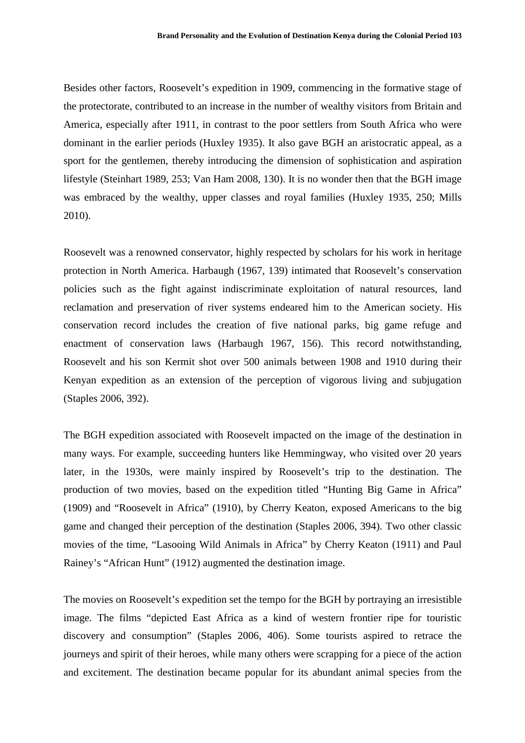Besides other factors, Roosevelt's expedition in 1909, commencing in the formative stage of the protectorate, contributed to an increase in the number of wealthy visitors from Britain and America, especially after 1911, in contrast to the poor settlers from South Africa who were dominant in the earlier periods (Huxley 1935). It also gave BGH an aristocratic appeal, as a sport for the gentlemen, thereby introducing the dimension of sophistication and aspiration lifestyle (Steinhart 1989, 253; Van Ham 2008, 130). It is no wonder then that the BGH image was embraced by the wealthy, upper classes and royal families (Huxley 1935, 250; Mills 2010).

Roosevelt was a renowned conservator, highly respected by scholars for his work in heritage protection in North America. Harbaugh (1967, 139) intimated that Roosevelt's conservation policies such as the fight against indiscriminate exploitation of natural resources, land reclamation and preservation of river systems endeared him to the American society. His conservation record includes the creation of five national parks, big game refuge and enactment of conservation laws (Harbaugh 1967, 156). This record notwithstanding, Roosevelt and his son Kermit shot over 500 animals between 1908 and 1910 during their Kenyan expedition as an extension of the perception of vigorous living and subjugation (Staples 2006, 392).

The BGH expedition associated with Roosevelt impacted on the image of the destination in many ways. For example, succeeding hunters like Hemmingway, who visited over 20 years later, in the 1930s, were mainly inspired by Roosevelt's trip to the destination. The production of two movies, based on the expedition titled "Hunting Big Game in Africa" (1909) and "Roosevelt in Africa" (1910), by Cherry Keaton, exposed Americans to the big game and changed their perception of the destination (Staples 2006, 394). Two other classic movies of the time, "Lasooing Wild Animals in Africa" by Cherry Keaton (1911) and Paul Rainey's "African Hunt" (1912) augmented the destination image.

The movies on Roosevelt's expedition set the tempo for the BGH by portraying an irresistible image. The films "depicted East Africa as a kind of western frontier ripe for touristic discovery and consumption" (Staples 2006, 406). Some tourists aspired to retrace the journeys and spirit of their heroes, while many others were scrapping for a piece of the action and excitement. The destination became popular for its abundant animal species from the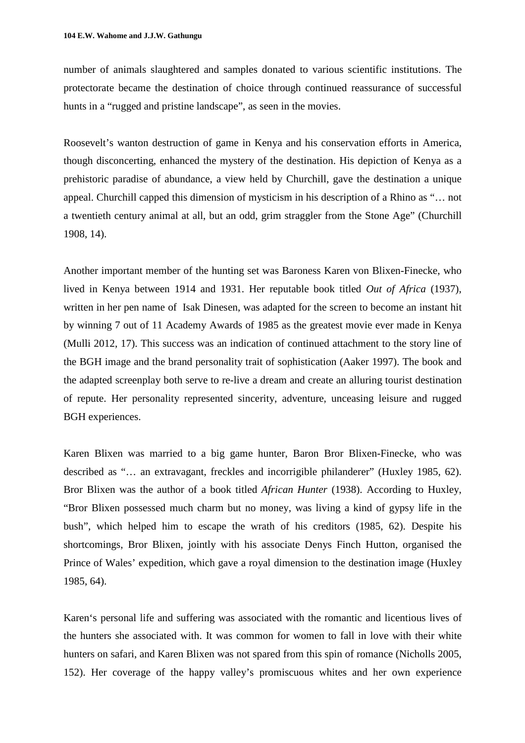number of animals slaughtered and samples donated to various scientific institutions. The protectorate became the destination of choice through continued reassurance of successful hunts in a "rugged and pristine landscape", as seen in the movies.

Roosevelt's wanton destruction of game in Kenya and his conservation efforts in America, though disconcerting, enhanced the mystery of the destination. His depiction of Kenya as a prehistoric paradise of abundance, a view held by Churchill, gave the destination a unique appeal. Churchill capped this dimension of mysticism in his description of a Rhino as "… not a twentieth century animal at all, but an odd, grim straggler from the Stone Age" (Churchill 1908, 14).

Another important member of the hunting set was Baroness Karen von Blixen-Finecke, who lived in Kenya between 1914 and 1931. Her reputable book titled *Out of Africa* (1937), written in her pen name of Isak Dinesen, was adapted for the screen to become an instant hit by winning 7 out of 11 Academy Awards of 1985 as the greatest movie ever made in Kenya (Mulli 2012, 17). This success was an indication of continued attachment to the story line of the BGH image and the brand personality trait of sophistication (Aaker 1997). The book and the adapted screenplay both serve to re-live a dream and create an alluring tourist destination of repute. Her personality represented sincerity, adventure, unceasing leisure and rugged BGH experiences.

Karen Blixen was married to a big game hunter, Baron Bror Blixen-Finecke, who was described as "… an extravagant, freckles and incorrigible philanderer" (Huxley 1985, 62). Bror Blixen was the author of a book titled *African Hunter* (1938). According to Huxley, "Bror Blixen possessed much charm but no money, was living a kind of gypsy life in the bush", which helped him to escape the wrath of his creditors (1985, 62). Despite his shortcomings, Bror Blixen, jointly with his associate Denys Finch Hutton, organised the Prince of Wales' expedition, which gave a royal dimension to the destination image (Huxley 1985, 64).

Karen's personal life and suffering was associated with the romantic and licentious lives of the hunters she associated with. It was common for women to fall in love with their white hunters on safari, and Karen Blixen was not spared from this spin of romance (Nicholls 2005, 152). Her coverage of the happy valley's promiscuous whites and her own experience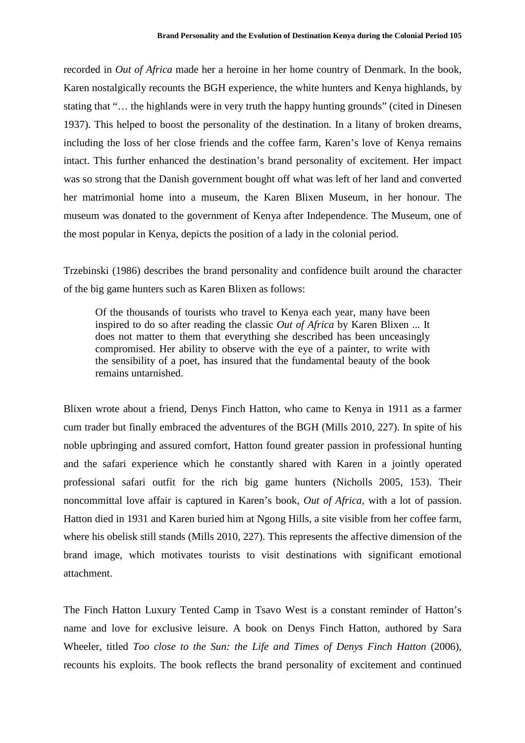recorded in *Out of Africa* made her a heroine in her home country of Denmark. In the book*,* Karen nostalgically recounts the BGH experience, the white hunters and Kenya highlands, by stating that "… the highlands were in very truth the happy hunting grounds" (cited in Dinesen 1937). This helped to boost the personality of the destination. In a litany of broken dreams, including the loss of her close friends and the coffee farm, Karen's love of Kenya remains intact. This further enhanced the destination's brand personality of excitement. Her impact was so strong that the Danish government bought off what was left of her land and converted her matrimonial home into a museum, the Karen Blixen Museum, in her honour. The museum was donated to the government of Kenya after Independence. The Museum, one of the most popular in Kenya, depicts the position of a lady in the colonial period.

Trzebinski (1986) describes the brand personality and confidence built around the character of the big game hunters such as Karen Blixen as follows:

Of the thousands of tourists who travel to Kenya each year, many have been inspired to do so after reading the classic *Out of Africa* by Karen Blixen ... It does not matter to them that everything she described has been unceasingly compromised. Her ability to observe with the eye of a painter, to write with the sensibility of a poet, has insured that the fundamental beauty of the book remains untarnished.

Blixen wrote about a friend, Denys Finch Hatton, who came to Kenya in 1911 as a farmer cum trader but finally embraced the adventures of the BGH (Mills 2010, 227). In spite of his noble upbringing and assured comfort, Hatton found greater passion in professional hunting and the safari experience which he constantly shared with Karen in a jointly operated professional safari outfit for the rich big game hunters (Nicholls 2005, 153). Their noncommittal love affair is captured in Karen's book, *Out of Africa*, with a lot of passion. Hatton died in 1931 and Karen buried him at Ngong Hills, a site visible from her coffee farm, where his obelisk still stands (Mills 2010, 227). This represents the affective dimension of the brand image, which motivates tourists to visit destinations with significant emotional attachment.

The Finch Hatton Luxury Tented Camp in Tsavo West is a constant reminder of Hatton's name and love for exclusive leisure. A book on Denys Finch Hatton, authored by Sara Wheeler, titled *Too close to the Sun: the Life and Times of Denys Finch Hatton* (2006), recounts his exploits. The book reflects the brand personality of excitement and continued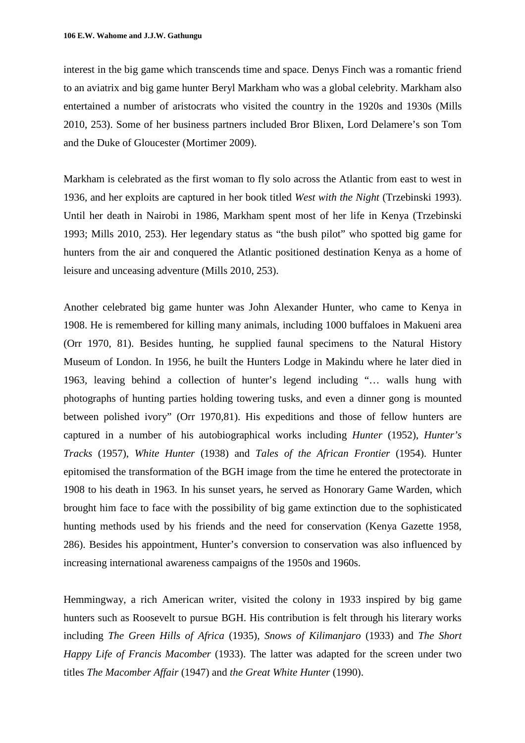interest in the big game which transcends time and space. Denys Finch was a romantic friend to an aviatrix and big game hunter Beryl Markham who was a global celebrity. Markham also entertained a number of aristocrats who visited the country in the 1920s and 1930s (Mills 2010, 253). Some of her business partners included Bror Blixen, Lord Delamere's son Tom and the Duke of Gloucester (Mortimer 2009).

Markham is celebrated as the first woman to fly solo across the Atlantic from east to west in 1936, and her exploits are captured in her book titled *West with the Night* (Trzebinski 1993). Until her death in Nairobi in 1986, Markham spent most of her life in Kenya (Trzebinski 1993; Mills 2010, 253). Her legendary status as "the bush pilot" who spotted big game for hunters from the air and conquered the Atlantic positioned destination Kenya as a home of leisure and unceasing adventure (Mills 2010, 253).

Another celebrated big game hunter was John Alexander Hunter, who came to Kenya in 1908. He is remembered for killing many animals, including 1000 buffaloes in Makueni area (Orr 1970, 81). Besides hunting, he supplied faunal specimens to the Natural History Museum of London. In 1956, he built the Hunters Lodge in Makindu where he later died in 1963, leaving behind a collection of hunter's legend including "… walls hung with photographs of hunting parties holding towering tusks, and even a dinner gong is mounted between polished ivory" (Orr 1970,81). His expeditions and those of fellow hunters are captured in a number of his autobiographical works including *Hunter* (1952), *Hunter's Tracks* (1957), *White Hunter* (1938) and *Tales of the African Frontier* (1954). Hunter epitomised the transformation of the BGH image from the time he entered the protectorate in 1908 to his death in 1963. In his sunset years, he served as Honorary Game Warden, which brought him face to face with the possibility of big game extinction due to the sophisticated hunting methods used by his friends and the need for conservation (Kenya Gazette 1958, 286). Besides his appointment, Hunter's conversion to conservation was also influenced by increasing international awareness campaigns of the 1950s and 1960s.

Hemmingway, a rich American writer, visited the colony in 1933 inspired by big game hunters such as Roosevelt to pursue BGH. His contribution is felt through his literary works including *The Green Hills of Africa* (1935), *Snows of Kilimanjaro* (1933) and *The Short Happy Life of Francis Macomber* (1933). The latter was adapted for the screen under two titles *The Macomber Affair* (1947) and *the Great White Hunter* (1990).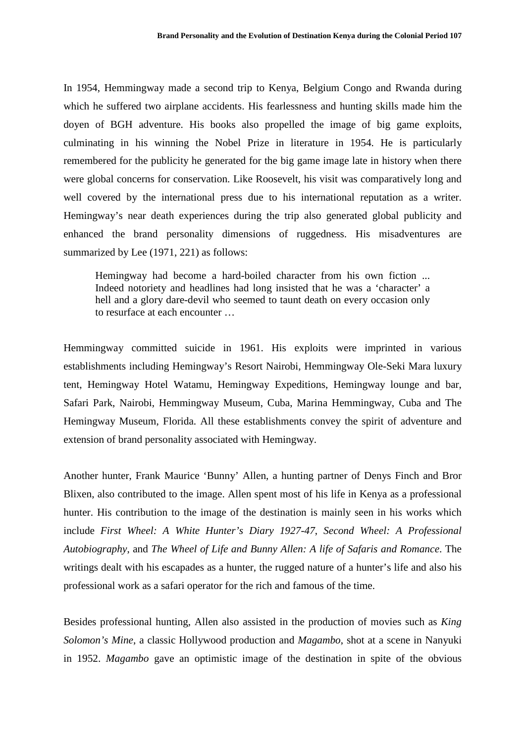In 1954, Hemmingway made a second trip to Kenya, Belgium Congo and Rwanda during which he suffered two airplane accidents. His fearlessness and hunting skills made him the doyen of BGH adventure. His books also propelled the image of big game exploits, culminating in his winning the Nobel Prize in literature in 1954. He is particularly remembered for the publicity he generated for the big game image late in history when there were global concerns for conservation. Like Roosevelt, his visit was comparatively long and well covered by the international press due to his international reputation as a writer. Hemingway's near death experiences during the trip also generated global publicity and enhanced the brand personality dimensions of ruggedness. His misadventures are summarized by Lee (1971, 221) as follows:

Hemingway had become a hard-boiled character from his own fiction ... Indeed notoriety and headlines had long insisted that he was a 'character' a hell and a glory dare-devil who seemed to taunt death on every occasion only to resurface at each encounter …

Hemmingway committed suicide in 1961. His exploits were imprinted in various establishments including Hemingway's Resort Nairobi, Hemmingway Ole-Seki Mara luxury tent, Hemingway Hotel Watamu, Hemingway Expeditions, Hemingway lounge and bar, Safari Park, Nairobi, Hemmingway Museum, Cuba, Marina Hemmingway, Cuba and The Hemingway Museum, Florida. All these establishments convey the spirit of adventure and extension of brand personality associated with Hemingway.

Another hunter, Frank Maurice 'Bunny' Allen, a hunting partner of Denys Finch and Bror Blixen, also contributed to the image. Allen spent most of his life in Kenya as a professional hunter. His contribution to the image of the destination is mainly seen in his works which include *First Wheel: A White Hunter's Diary 1927-47*, *Second Wheel: A Professional Autobiography*, and *The Wheel of Life and Bunny Allen: A life of Safaris and Romance*. The writings dealt with his escapades as a hunter, the rugged nature of a hunter's life and also his professional work as a safari operator for the rich and famous of the time.

Besides professional hunting, Allen also assisted in the production of movies such as *King Solomon's Mine*, a classic Hollywood production and *Magambo*, shot at a scene in Nanyuki in 1952. *Magambo* gave an optimistic image of the destination in spite of the obvious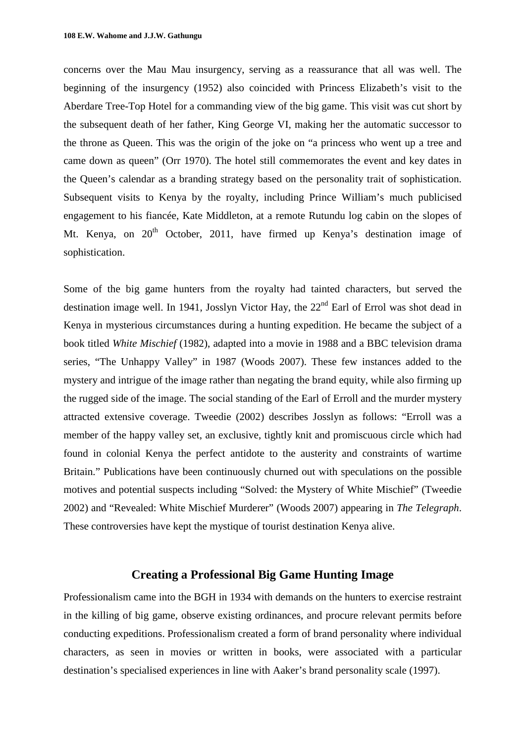concerns over the Mau Mau insurgency, serving as a reassurance that all was well. The beginning of the insurgency (1952) also coincided with Princess Elizabeth's visit to the Aberdare Tree-Top Hotel for a commanding view of the big game. This visit was cut short by the subsequent death of her father, King George VI, making her the automatic successor to the throne as Queen. This was the origin of the joke on "a princess who went up a tree and came down as queen" (Orr 1970). The hotel still commemorates the event and key dates in the Queen's calendar as a branding strategy based on the personality trait of sophistication. Subsequent visits to Kenya by the royalty, including Prince William's much publicised engagement to his fiancée, Kate Middleton, at a remote Rutundu log cabin on the slopes of Mt. Kenya, on  $20<sup>th</sup>$  October, 2011, have firmed up Kenya's destination image of sophistication.

Some of the big game hunters from the royalty had tainted characters, but served the destination image well. In 1941, Josslyn Victor Hay, the  $22<sup>nd</sup>$  Earl of Errol was shot dead in Kenya in mysterious circumstances during a hunting expedition. He became the subject of a book titled *White Mischief* (1982), adapted into a movie in 1988 and a BBC television drama series, "The Unhappy Valley" in 1987 (Woods 2007). These few instances added to the mystery and intrigue of the image rather than negating the brand equity, while also firming up the rugged side of the image. The social standing of the Earl of Erroll and the murder mystery attracted extensive coverage. Tweedie (2002) describes Josslyn as follows: "Erroll was a member of the happy valley set, an exclusive, tightly knit and promiscuous circle which had found in colonial Kenya the perfect antidote to the austerity and constraints of wartime Britain." Publications have been continuously churned out with speculations on the possible motives and potential suspects including "Solved: the Mystery of White Mischief" (Tweedie 2002) and "Revealed: White Mischief Murderer" (Woods 2007) appearing in *The Telegraph*. These controversies have kept the mystique of tourist destination Kenya alive.

## **Creating a Professional Big Game Hunting Image**

Professionalism came into the BGH in 1934 with demands on the hunters to exercise restraint in the killing of big game, observe existing ordinances, and procure relevant permits before conducting expeditions. Professionalism created a form of brand personality where individual characters, as seen in movies or written in books, were associated with a particular destination's specialised experiences in line with Aaker's brand personality scale (1997).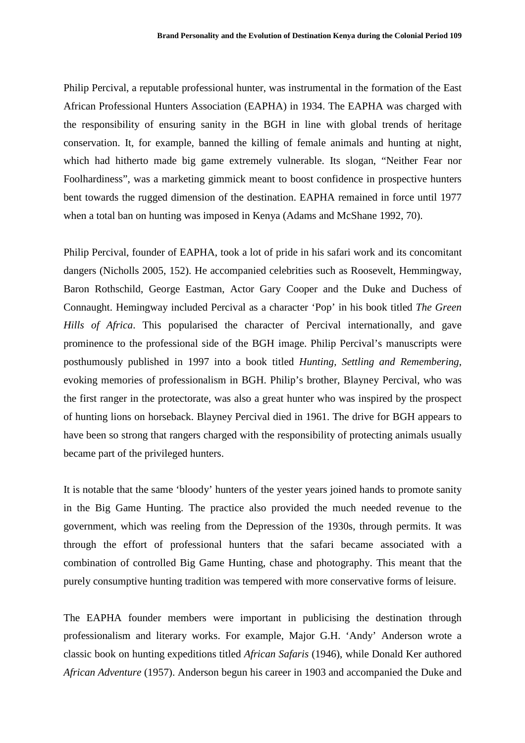Philip Percival, a reputable professional hunter, was instrumental in the formation of the East African Professional Hunters Association (EAPHA) in 1934. The EAPHA was charged with the responsibility of ensuring sanity in the BGH in line with global trends of heritage conservation. It, for example, banned the killing of female animals and hunting at night, which had hitherto made big game extremely vulnerable. Its slogan, "Neither Fear nor Foolhardiness", was a marketing gimmick meant to boost confidence in prospective hunters bent towards the rugged dimension of the destination. EAPHA remained in force until 1977 when a total ban on hunting was imposed in Kenya (Adams and McShane 1992, 70).

Philip Percival, founder of EAPHA, took a lot of pride in his safari work and its concomitant dangers (Nicholls 2005, 152). He accompanied celebrities such as Roosevelt, Hemmingway, Baron Rothschild, George Eastman, Actor Gary Cooper and the Duke and Duchess of Connaught. Hemingway included Percival as a character 'Pop' in his book titled *The Green Hills of Africa*. This popularised the character of Percival internationally, and gave prominence to the professional side of the BGH image. Philip Percival's manuscripts were posthumously published in 1997 into a book titled *Hunting, Settling and Remembering*, evoking memories of professionalism in BGH. Philip's brother, Blayney Percival, who was the first ranger in the protectorate, was also a great hunter who was inspired by the prospect of hunting lions on horseback. Blayney Percival died in 1961. The drive for BGH appears to have been so strong that rangers charged with the responsibility of protecting animals usually became part of the privileged hunters.

It is notable that the same 'bloody' hunters of the yester years joined hands to promote sanity in the Big Game Hunting. The practice also provided the much needed revenue to the government, which was reeling from the Depression of the 1930s, through permits. It was through the effort of professional hunters that the safari became associated with a combination of controlled Big Game Hunting, chase and photography. This meant that the purely consumptive hunting tradition was tempered with more conservative forms of leisure.

The EAPHA founder members were important in publicising the destination through professionalism and literary works. For example, Major G.H. 'Andy' Anderson wrote a classic book on hunting expeditions titled *African Safaris* (1946), while Donald Ker authored *African Adventure* (1957). Anderson begun his career in 1903 and accompanied the Duke and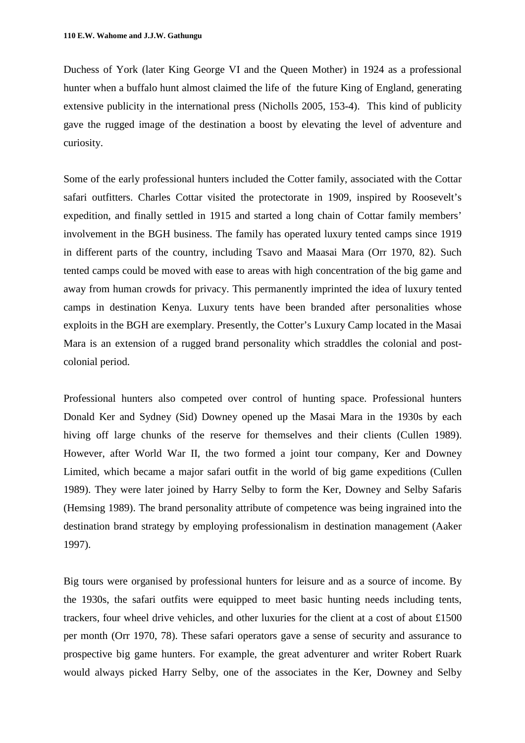Duchess of York (later King George VI and the Queen Mother) in 1924 as a professional hunter when a buffalo hunt almost claimed the life of the future King of England, generating extensive publicity in the international press (Nicholls 2005, 153-4). This kind of publicity gave the rugged image of the destination a boost by elevating the level of adventure and curiosity.

Some of the early professional hunters included the Cotter family, associated with the Cottar safari outfitters. Charles Cottar visited the protectorate in 1909, inspired by Roosevelt's expedition, and finally settled in 1915 and started a long chain of Cottar family members' involvement in the BGH business. The family has operated luxury tented camps since 1919 in different parts of the country, including Tsavo and Maasai Mara (Orr 1970, 82). Such tented camps could be moved with ease to areas with high concentration of the big game and away from human crowds for privacy. This permanently imprinted the idea of luxury tented camps in destination Kenya. Luxury tents have been branded after personalities whose exploits in the BGH are exemplary. Presently, the Cotter's Luxury Camp located in the Masai Mara is an extension of a rugged brand personality which straddles the colonial and postcolonial period.

Professional hunters also competed over control of hunting space. Professional hunters Donald Ker and Sydney (Sid) Downey opened up the Masai Mara in the 1930s by each hiving off large chunks of the reserve for themselves and their clients (Cullen 1989). However, after World War II, the two formed a joint tour company, Ker and Downey Limited, which became a major safari outfit in the world of big game expeditions (Cullen 1989). They were later joined by Harry Selby to form the Ker, Downey and Selby Safaris (Hemsing 1989). The brand personality attribute of competence was being ingrained into the destination brand strategy by employing professionalism in destination management (Aaker 1997).

Big tours were organised by professional hunters for leisure and as a source of income. By the 1930s, the safari outfits were equipped to meet basic hunting needs including tents, trackers, four wheel drive vehicles, and other luxuries for the client at a cost of about £1500 per month (Orr 1970, 78). These safari operators gave a sense of security and assurance to prospective big game hunters. For example, the great adventurer and writer Robert Ruark would always picked Harry Selby, one of the associates in the Ker, Downey and Selby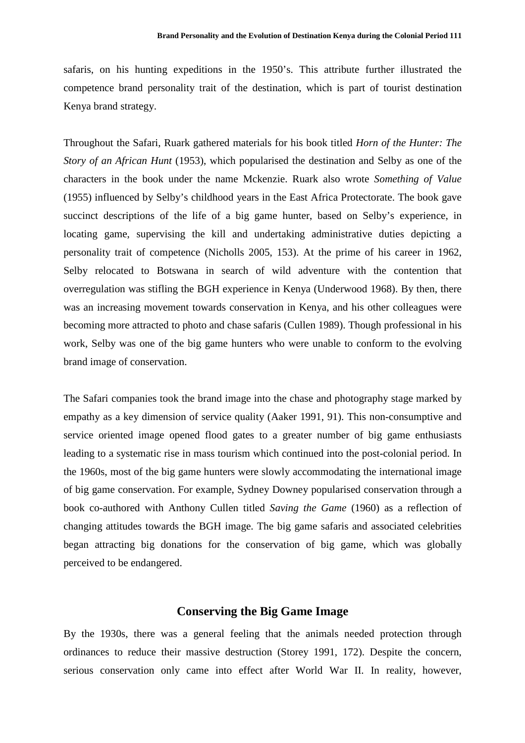safaris, on his hunting expeditions in the 1950's. This attribute further illustrated the competence brand personality trait of the destination, which is part of tourist destination Kenya brand strategy.

Throughout the Safari, Ruark gathered materials for his book titled *Horn of the Hunter: The Story of an African Hunt* (1953), which popularised the destination and Selby as one of the characters in the book under the name Mckenzie. Ruark also wrote *Something of Value* (1955) influenced by Selby's childhood years in the East Africa Protectorate. The book gave succinct descriptions of the life of a big game hunter, based on Selby's experience, in locating game, supervising the kill and undertaking administrative duties depicting a personality trait of competence (Nicholls 2005, 153). At the prime of his career in 1962, Selby relocated to Botswana in search of wild adventure with the contention that overregulation was stifling the BGH experience in Kenya (Underwood 1968). By then, there was an increasing movement towards conservation in Kenya, and his other colleagues were becoming more attracted to photo and chase safaris (Cullen 1989). Though professional in his work, Selby was one of the big game hunters who were unable to conform to the evolving brand image of conservation.

The Safari companies took the brand image into the chase and photography stage marked by empathy as a key dimension of service quality (Aaker 1991, 91). This non-consumptive and service oriented image opened flood gates to a greater number of big game enthusiasts leading to a systematic rise in mass tourism which continued into the post-colonial period. In the 1960s, most of the big game hunters were slowly accommodating the international image of big game conservation. For example, Sydney Downey popularised conservation through a book co-authored with Anthony Cullen titled *Saving the Game* (1960) as a reflection of changing attitudes towards the BGH image. The big game safaris and associated celebrities began attracting big donations for the conservation of big game, which was globally perceived to be endangered.

### **Conserving the Big Game Image**

By the 1930s, there was a general feeling that the animals needed protection through ordinances to reduce their massive destruction (Storey 1991, 172). Despite the concern, serious conservation only came into effect after World War II. In reality, however,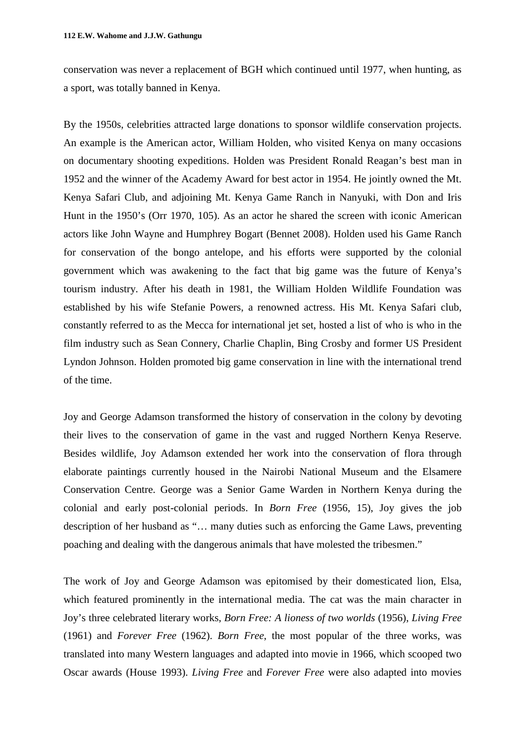conservation was never a replacement of BGH which continued until 1977, when hunting, as a sport, was totally banned in Kenya.

By the 1950s, celebrities attracted large donations to sponsor wildlife conservation projects. An example is the American actor, William Holden, who visited Kenya on many occasions on documentary shooting expeditions. Holden was President Ronald Reagan's best man in 1952 and the winner of the Academy Award for best actor in 1954. He jointly owned the Mt. Kenya Safari Club, and adjoining Mt. Kenya Game Ranch in Nanyuki, with Don and Iris Hunt in the 1950's (Orr 1970, 105). As an actor he shared the screen with iconic American actors like John Wayne and Humphrey Bogart (Bennet 2008). Holden used his Game Ranch for conservation of the bongo antelope, and his efforts were supported by the colonial government which was awakening to the fact that big game was the future of Kenya's tourism industry. After his death in 1981, the William Holden Wildlife Foundation was established by his wife Stefanie Powers, a renowned actress. His Mt. Kenya Safari club, constantly referred to as the Mecca for international jet set, hosted a list of who is who in the film industry such as Sean Connery, Charlie Chaplin, Bing Crosby and former US President Lyndon Johnson. Holden promoted big game conservation in line with the international trend of the time.

Joy and George Adamson transformed the history of conservation in the colony by devoting their lives to the conservation of game in the vast and rugged Northern Kenya Reserve. Besides wildlife, Joy Adamson extended her work into the conservation of flora through elaborate paintings currently housed in the Nairobi National Museum and the Elsamere Conservation Centre. George was a Senior Game Warden in Northern Kenya during the colonial and early post-colonial periods. In *Born Free* (1956, 15), Joy gives the job description of her husband as "… many duties such as enforcing the Game Laws, preventing poaching and dealing with the dangerous animals that have molested the tribesmen."

The work of Joy and George Adamson was epitomised by their domesticated lion, Elsa, which featured prominently in the international media. The cat was the main character in Joy's three celebrated literary works, *Born Free: A lioness of two worlds* (1956), *Living Free* (1961) and *Forever Free* (1962). *Born Free*, the most popular of the three works, was translated into many Western languages and adapted into movie in 1966, which scooped two Oscar awards (House 1993). *Living Free* and *Forever Free* were also adapted into movies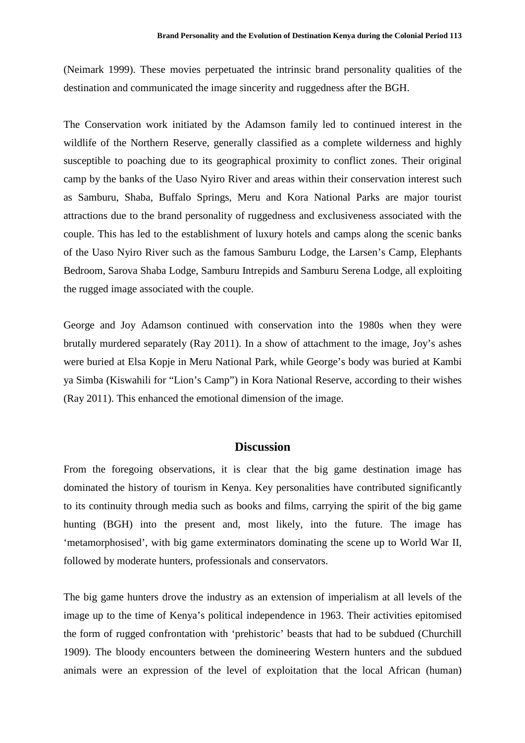(Neimark 1999). These movies perpetuated the intrinsic brand personality qualities of the destination and communicated the image sincerity and ruggedness after the BGH.

The Conservation work initiated by the Adamson family led to continued interest in the wildlife of the Northern Reserve, generally classified as a complete wilderness and highly susceptible to poaching due to its geographical proximity to conflict zones. Their original camp by the banks of the Uaso Nyiro River and areas within their conservation interest such as Samburu, Shaba, Buffalo Springs, Meru and Kora National Parks are major tourist attractions due to the brand personality of ruggedness and exclusiveness associated with the couple. This has led to the establishment of luxury hotels and camps along the scenic banks of the Uaso Nyiro River such as the famous Samburu Lodge, the Larsen's Camp, Elephants Bedroom, Sarova Shaba Lodge, Samburu Intrepids and Samburu Serena Lodge, all exploiting the rugged image associated with the couple.

George and Joy Adamson continued with conservation into the 1980s when they were brutally murdered separately (Ray 2011). In a show of attachment to the image, Joy's ashes were buried at Elsa Kopje in Meru National Park, while George's body was buried at Kambi ya Simba (Kiswahili for "Lion's Camp") in Kora National Reserve, according to their wishes (Ray 2011). This enhanced the emotional dimension of the image.

## **Discussion**

From the foregoing observations, it is clear that the big game destination image has dominated the history of tourism in Kenya. Key personalities have contributed significantly to its continuity through media such as books and films, carrying the spirit of the big game hunting (BGH) into the present and, most likely, into the future. The image has 'metamorphosised', with big game exterminators dominating the scene up to World War II, followed by moderate hunters, professionals and conservators.

The big game hunters drove the industry as an extension of imperialism at all levels of the image up to the time of Kenya's political independence in 1963. Their activities epitomised the form of rugged confrontation with 'prehistoric' beasts that had to be subdued (Churchill 1909). The bloody encounters between the domineering Western hunters and the subdued animals were an expression of the level of exploitation that the local African (human)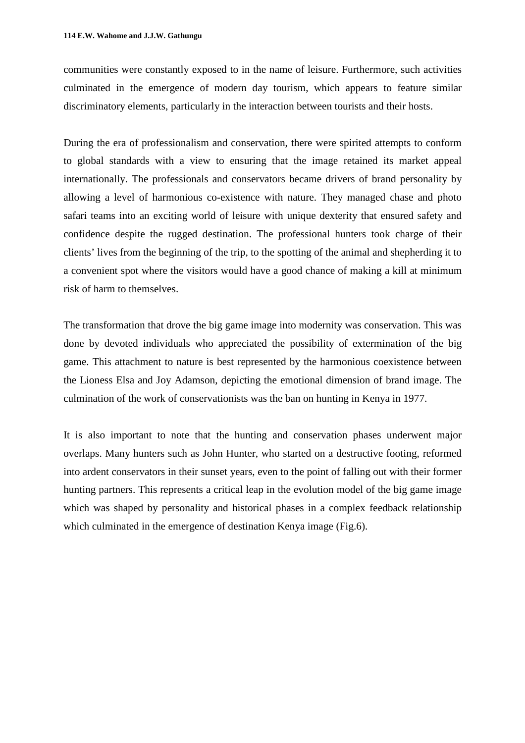communities were constantly exposed to in the name of leisure. Furthermore, such activities culminated in the emergence of modern day tourism, which appears to feature similar discriminatory elements, particularly in the interaction between tourists and their hosts.

During the era of professionalism and conservation, there were spirited attempts to conform to global standards with a view to ensuring that the image retained its market appeal internationally. The professionals and conservators became drivers of brand personality by allowing a level of harmonious co-existence with nature. They managed chase and photo safari teams into an exciting world of leisure with unique dexterity that ensured safety and confidence despite the rugged destination. The professional hunters took charge of their clients' lives from the beginning of the trip, to the spotting of the animal and shepherding it to a convenient spot where the visitors would have a good chance of making a kill at minimum risk of harm to themselves.

The transformation that drove the big game image into modernity was conservation. This was done by devoted individuals who appreciated the possibility of extermination of the big game. This attachment to nature is best represented by the harmonious coexistence between the Lioness Elsa and Joy Adamson, depicting the emotional dimension of brand image. The culmination of the work of conservationists was the ban on hunting in Kenya in 1977.

It is also important to note that the hunting and conservation phases underwent major overlaps. Many hunters such as John Hunter, who started on a destructive footing, reformed into ardent conservators in their sunset years, even to the point of falling out with their former hunting partners. This represents a critical leap in the evolution model of the big game image which was shaped by personality and historical phases in a complex feedback relationship which culminated in the emergence of destination Kenya image (Fig.6).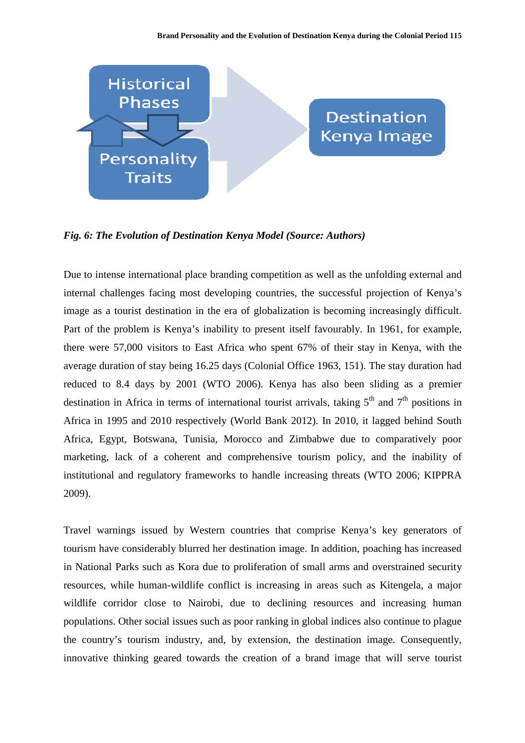

*Fig. 6: The Evolution of Destination Kenya Model (Source: Authors)* 

Due to intense international place branding competition as well as the unfolding external and internal challenges facing most developing countries, the successful projection of Kenya's image as a tourist destination in the era of globalization is becoming increasingly difficult. Part of the problem is Kenya's inability to present itself favourably. In 1961, for example, there were 57,000 visitors to East Africa who spent 67% of their stay in Kenya, with the average duration of stay being 16.25 days (Colonial Office 1963, 151). The stay duration had reduced to 8.4 days by 2001 (WTO 2006). Kenya has also been sliding as a premier destination in Africa in terms of international tourist arrivals, taking  $5<sup>th</sup>$  and  $7<sup>th</sup>$  positions in Africa in 1995 and 2010 respectively (World Bank 2012). In 2010, it lagged behind South Africa, Egypt, Botswana, Tunisia, Morocco and Zimbabwe due to comparatively poor marketing, lack of a coherent and comprehensive tourism policy, and the inability of institutional and regulatory frameworks to handle increasing threats (WTO 2006; KIPPRA 2009).

Travel warnings issued by Western countries that comprise Kenya's key generators of tourism have considerably blurred her destination image. In addition, poaching has increased in National Parks such as Kora due to proliferation of small arms and overstrained security resources, while human-wildlife conflict is increasing in areas such as Kitengela, a major wildlife corridor close to Nairobi, due to declining resources and increasing human populations. Other social issues such as poor ranking in global indices also continue to plague the country's tourism industry, and, by extension, the destination image. Consequently, innovative thinking geared towards the creation of a brand image that will serve tourist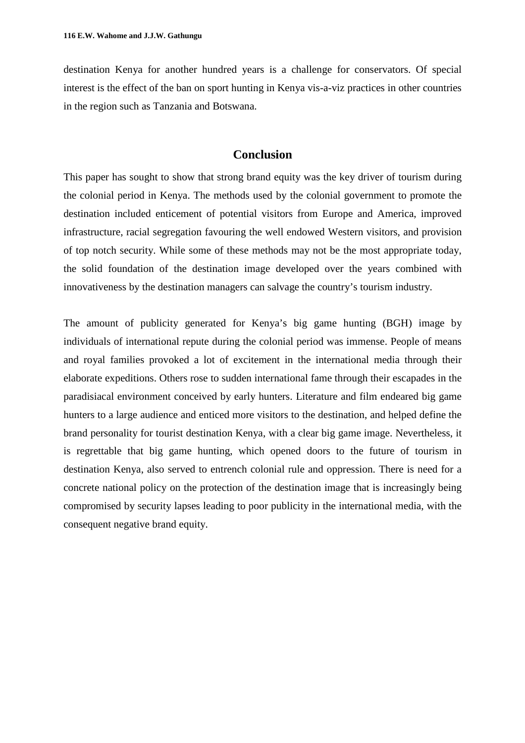destination Kenya for another hundred years is a challenge for conservators. Of special interest is the effect of the ban on sport hunting in Kenya vis-a-viz practices in other countries in the region such as Tanzania and Botswana.

## **Conclusion**

This paper has sought to show that strong brand equity was the key driver of tourism during the colonial period in Kenya. The methods used by the colonial government to promote the destination included enticement of potential visitors from Europe and America, improved infrastructure, racial segregation favouring the well endowed Western visitors, and provision of top notch security. While some of these methods may not be the most appropriate today, the solid foundation of the destination image developed over the years combined with innovativeness by the destination managers can salvage the country's tourism industry.

The amount of publicity generated for Kenya's big game hunting (BGH) image by individuals of international repute during the colonial period was immense. People of means and royal families provoked a lot of excitement in the international media through their elaborate expeditions. Others rose to sudden international fame through their escapades in the paradisiacal environment conceived by early hunters. Literature and film endeared big game hunters to a large audience and enticed more visitors to the destination, and helped define the brand personality for tourist destination Kenya, with a clear big game image. Nevertheless, it is regrettable that big game hunting, which opened doors to the future of tourism in destination Kenya, also served to entrench colonial rule and oppression. There is need for a concrete national policy on the protection of the destination image that is increasingly being compromised by security lapses leading to poor publicity in the international media, with the consequent negative brand equity.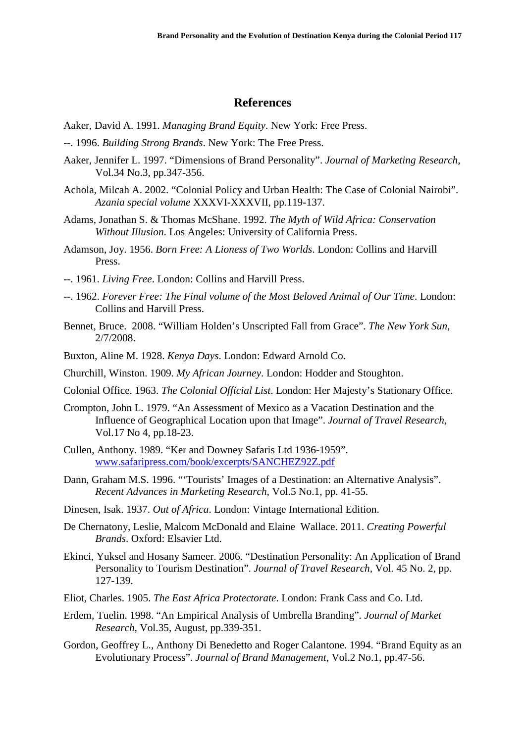### **References**

- Aaker, David A. 1991. *Managing Brand Equity*. New York: Free Press.
- --. 1996. *Building Strong Brands*. New York: The Free Press.
- Aaker, Jennifer L. 1997. "Dimensions of Brand Personality". *Journal of Marketing Research*, Vol.34 No.3, pp.347-356.
- Achola, Milcah A. 2002. "Colonial Policy and Urban Health: The Case of Colonial Nairobi". *Azania special volume* XXXVI-XXXVII, pp.119-137.
- Adams, Jonathan S. & Thomas McShane. 1992. *The Myth of Wild Africa: Conservation Without Illusion*. Los Angeles: University of California Press.
- Adamson, Joy. 1956. *Born Free: A Lioness of Two Worlds*. London: Collins and Harvill Press.
- --. 1961. *Living Free*. London: Collins and Harvill Press.
- --. 1962. *Forever Free: The Final volume of the Most Beloved Animal of Our Time*. London: Collins and Harvill Press.
- Bennet, Bruce. 2008. "William Holden's Unscripted Fall from Grace". *The New York Sun*, 2/7/2008.
- Buxton, Aline M. 1928. *Kenya Days*. London: Edward Arnold Co.
- Churchill, Winston. 1909. *My African Journey*. London: Hodder and Stoughton.
- Colonial Office. 1963. *The Colonial Official List*. London: Her Majesty's Stationary Office.
- Crompton, John L. 1979. "An Assessment of Mexico as a Vacation Destination and the Influence of Geographical Location upon that Image". *Journal of Travel Research*, Vol.17 No 4, pp.18-23.
- Cullen, Anthony. 1989. "Ker and Downey Safaris Ltd 1936-1959". www.safaripress.com/book/excerpts/SANCHEZ92Z.pdf
- Dann, Graham M.S. 1996. "'Tourists' Images of a Destination: an Alternative Analysis". *Recent Advances in Marketing Research,* Vol.5 No.1, pp. 41-55.
- Dinesen, Isak. 1937. *Out of Africa*. London: Vintage International Edition.
- De Chernatony, Leslie, Malcom McDonald and Elaine Wallace. 2011. *Creating Powerful Brands*. Oxford: Elsavier Ltd.
- Ekinci, Yuksel and Hosany Sameer. 2006. "Destination Personality: An Application of Brand Personality to Tourism Destination". *Journal of Travel Research*, Vol. 45 No. 2, pp. 127-139.
- Eliot, Charles. 1905. *The East Africa Protectorate*. London: Frank Cass and Co. Ltd.
- Erdem, Tuelin. 1998. "An Empirical Analysis of Umbrella Branding". *Journal of Market Research*, Vol.35, August, pp.339-351.
- Gordon, Geoffrey L., Anthony Di Benedetto and Roger Calantone. 1994. "Brand Equity as an Evolutionary Process". *Journal of Brand Management*, Vol.2 No.1, pp.47-56.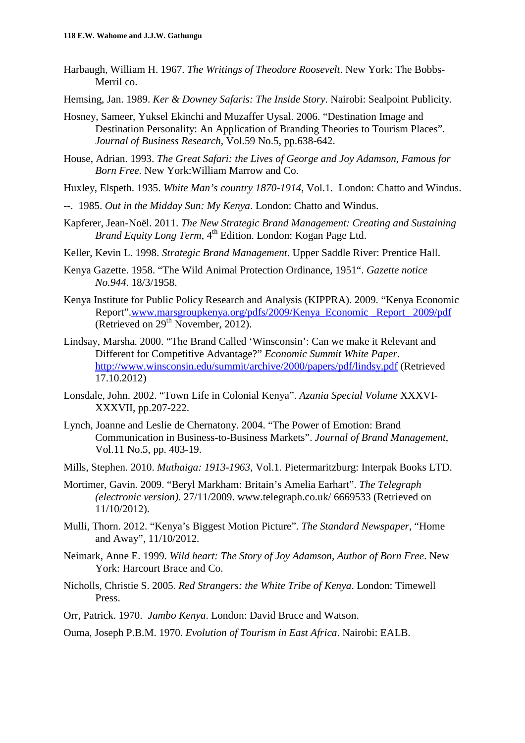- Harbaugh, William H. 1967. *The Writings of Theodore Roosevelt*. New York: The Bobbs-Merril co.
- Hemsing, Jan. 1989. *Ker & Downey Safaris: The Inside Story*. Nairobi: Sealpoint Publicity.
- Hosney, Sameer, Yuksel Ekinchi and Muzaffer Uysal. 2006. "Destination Image and Destination Personality: An Application of Branding Theories to Tourism Places". *Journal of Business Research*, Vol.59 No.5, pp.638-642.
- House, Adrian. 1993. *The Great Safari: the Lives of George and Joy Adamson, Famous for Born Free*. New York:William Marrow and Co.
- Huxley, Elspeth. 1935. *White Man's country 1870-1914*, Vol.1. London: Chatto and Windus.
- --. 1985. *Out in the Midday Sun: My Kenya*. London: Chatto and Windus.
- Kapferer, Jean-Noël. 2011. *The New Strategic Brand Management: Creating and Sustaining Brand Equity Long Term*, 4<sup>th</sup> Edition. London: Kogan Page Ltd.
- Keller, Kevin L. 1998. *Strategic Brand Management*. Upper Saddle River: Prentice Hall.
- Kenya Gazette. 1958. "The Wild Animal Protection Ordinance, 1951". *Gazette notice No.944*. 18/3/1958.
- Kenya Institute for Public Policy Research and Analysis (KIPPRA). 2009. "Kenya Economic Report".www.marsgroupkenya.org/pdfs/2009/Kenya\_Economic \_Report\_2009/pdf (Retrieved on  $29<sup>th</sup>$  November, 2012).
- Lindsay, Marsha. 2000. "The Brand Called 'Winsconsin': Can we make it Relevant and Different for Competitive Advantage?" *Economic Summit White Paper*. http://www.winsconsin.edu/summit/archive/2000/papers/pdf/lindsy.pdf (Retrieved 17.10.2012)
- Lonsdale, John. 2002. "Town Life in Colonial Kenya". *Azania Special Volume* XXXVI-XXXVII, pp.207-222.
- Lynch, Joanne and Leslie de Chernatony. 2004. "The Power of Emotion: Brand Communication in Business-to-Business Markets". *Journal of Brand Management*, Vol.11 No.5, pp. 403-19.
- Mills, Stephen. 2010. *Muthaiga: 1913-1963*, Vol.1. Pietermaritzburg: Interpak Books LTD.
- Mortimer, Gavin. 2009. "Beryl Markham: Britain's Amelia Earhart". *The Telegraph (electronic version).* 27/11/2009. www.telegraph.co.uk/ 6669533 (Retrieved on 11/10/2012).
- Mulli, Thorn. 2012. "Kenya's Biggest Motion Picture". *The Standard Newspaper*, "Home and Away", 11/10/2012.
- Neimark, Anne E. 1999. *Wild heart: The Story of Joy Adamson, Author of Born Free*. New York: Harcourt Brace and Co.
- Nicholls, Christie S. 2005. *Red Strangers: the White Tribe of Kenya*. London: Timewell Press.
- Orr, Patrick. 1970. *Jambo Kenya*. London: David Bruce and Watson.
- Ouma, Joseph P.B.M. 1970. *Evolution of Tourism in East Africa*. Nairobi: EALB.